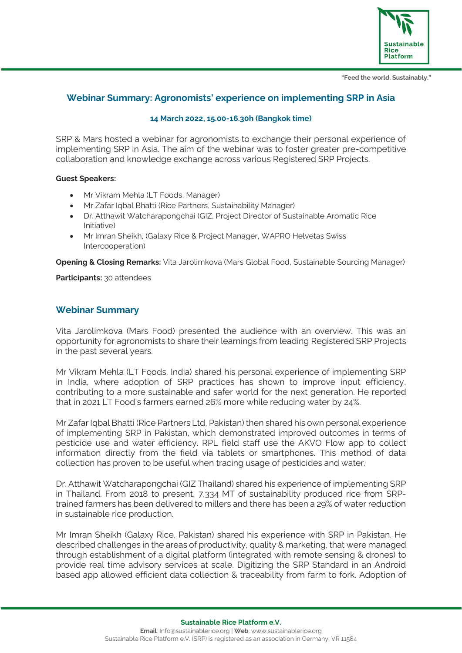

**"Feed the world. Sustainably."**

# **Webinar Summary: Agronomists' experience on implementing SRP in Asia**

### **14 March 2022, 15.00-16.30h (Bangkok time)**

SRP & Mars hosted a webinar for agronomists to exchange their personal experience of implementing SRP in Asia. The aim of the webinar was to foster greater pre-competitive collaboration and knowledge exchange across various Registered SRP Projects.

### **Guest Speakers:**

- Mr Vikram Mehla (LT Foods, Manager)
- Mr Zafar Iqbal Bhatti (Rice Partners, Sustainability Manager)
- Dr. Atthawit Watcharapongchai (GIZ, Project Director of Sustainable Aromatic Rice Initiative)
- Mr Imran Sheikh, (Galaxy Rice & Project Manager, WAPRO Helvetas Swiss Intercooperation)

**Opening & Closing Remarks:** Vita Jarolimkova (Mars Global Food, Sustainable Sourcing Manager)

**Participants:** 30 attendees

## **Webinar Summary**

Vita Jarolimkova (Mars Food) presented the audience with an overview. This was an opportunity for agronomists to share their learnings from leading Registered SRP Projects in the past several years.

Mr Vikram Mehla (LT Foods, India) shared his personal experience of implementing SRP in India, where adoption of SRP practices has shown to improve input efficiency, contributing to a more sustainable and safer world for the next generation. He reported that in 2021 LT Food's farmers earned 26% more while reducing water by 24%.

Mr Zafar Iqbal Bhatti (Rice Partners Ltd, Pakistan) then shared his own personal experience of implementing SRP in Pakistan, which demonstrated improved outcomes in terms of pesticide use and water efficiency. RPL field staff use the AKVO Flow app to collect information directly from the field via tablets or smartphones. This method of data collection has proven to be useful when tracing usage of pesticides and water.

Dr. Atthawit Watcharapongchai (GIZ Thailand) shared his experience of implementing SRP in Thailand. From 2018 to present, 7,334 MT of sustainability produced rice from SRPtrained farmers has been delivered to millers and there has been a 29% of water reduction in sustainable rice production.

Mr Imran Sheikh (Galaxy Rice, Pakistan) shared his experience with SRP in Pakistan. He described challenges in the areas of productivity, quality & marketing, that were managed through establishment of a digital platform (integrated with remote sensing & drones) to provide real time advisory services at scale. Digitizing the SRP Standard in an Android based app allowed efficient data collection & traceability from farm to fork. Adoption of